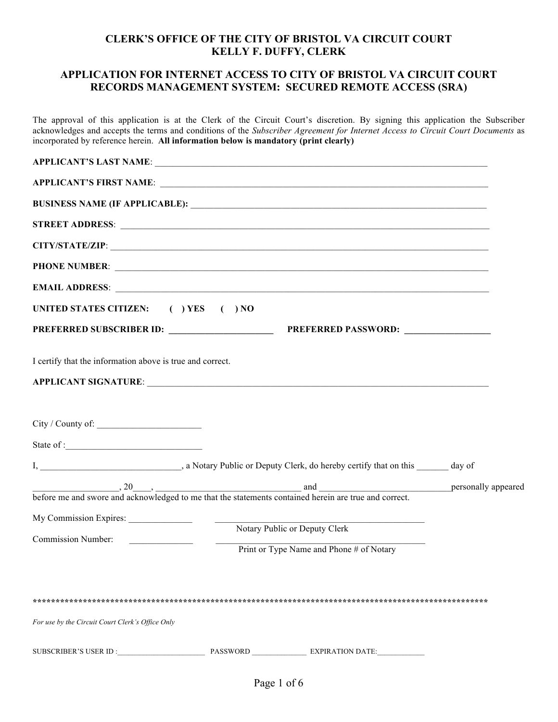### **CLERK'S OFFICE OF THE CITY OF BRISTOL VA CIRCUIT COURT KELLY F. DUFFY, CLERK**

#### **APPLICATION FOR INTERNET ACCESS TO CITY OF BRISTOL VA CIRCUIT COURT RECORDS MANAGEMENT SYSTEM: SECURED REMOTE ACCESS (SRA)**

The approval of this application is at the Clerk of the Circuit Court's discretion. By signing this application the Subscriber acknowledges and accepts the terms and conditions of the *Subscriber Agreement for Internet Access to Circuit Court Documents* as incorporated by reference herein. **All information below is mandatory (print clearly)**

| APPLICANT'S FIRST NAME:<br>CITY/STATE/ZIP: New York CITY/STATE/ZIP:<br>UNITED STATES CITIZEN: () YES () NO<br>I certify that the information above is true and correct.<br>before me and swore and acknowledged to me that the statements contained herein are true and correct.<br>Notary Public or Deputy Clerk<br>Commission Number:<br><u> 1980 - Andrea State</u><br>$\overline{\phantom{a}}$<br>Print or Type Name and Phone # of Notary<br>For use by the Circuit Court Clerk's Office Only |  |  |  |
|----------------------------------------------------------------------------------------------------------------------------------------------------------------------------------------------------------------------------------------------------------------------------------------------------------------------------------------------------------------------------------------------------------------------------------------------------------------------------------------------------|--|--|--|
|                                                                                                                                                                                                                                                                                                                                                                                                                                                                                                    |  |  |  |
|                                                                                                                                                                                                                                                                                                                                                                                                                                                                                                    |  |  |  |
|                                                                                                                                                                                                                                                                                                                                                                                                                                                                                                    |  |  |  |
|                                                                                                                                                                                                                                                                                                                                                                                                                                                                                                    |  |  |  |
|                                                                                                                                                                                                                                                                                                                                                                                                                                                                                                    |  |  |  |
|                                                                                                                                                                                                                                                                                                                                                                                                                                                                                                    |  |  |  |
|                                                                                                                                                                                                                                                                                                                                                                                                                                                                                                    |  |  |  |
|                                                                                                                                                                                                                                                                                                                                                                                                                                                                                                    |  |  |  |
|                                                                                                                                                                                                                                                                                                                                                                                                                                                                                                    |  |  |  |
|                                                                                                                                                                                                                                                                                                                                                                                                                                                                                                    |  |  |  |
|                                                                                                                                                                                                                                                                                                                                                                                                                                                                                                    |  |  |  |
|                                                                                                                                                                                                                                                                                                                                                                                                                                                                                                    |  |  |  |
|                                                                                                                                                                                                                                                                                                                                                                                                                                                                                                    |  |  |  |
|                                                                                                                                                                                                                                                                                                                                                                                                                                                                                                    |  |  |  |
|                                                                                                                                                                                                                                                                                                                                                                                                                                                                                                    |  |  |  |
|                                                                                                                                                                                                                                                                                                                                                                                                                                                                                                    |  |  |  |
|                                                                                                                                                                                                                                                                                                                                                                                                                                                                                                    |  |  |  |
|                                                                                                                                                                                                                                                                                                                                                                                                                                                                                                    |  |  |  |
|                                                                                                                                                                                                                                                                                                                                                                                                                                                                                                    |  |  |  |
|                                                                                                                                                                                                                                                                                                                                                                                                                                                                                                    |  |  |  |
|                                                                                                                                                                                                                                                                                                                                                                                                                                                                                                    |  |  |  |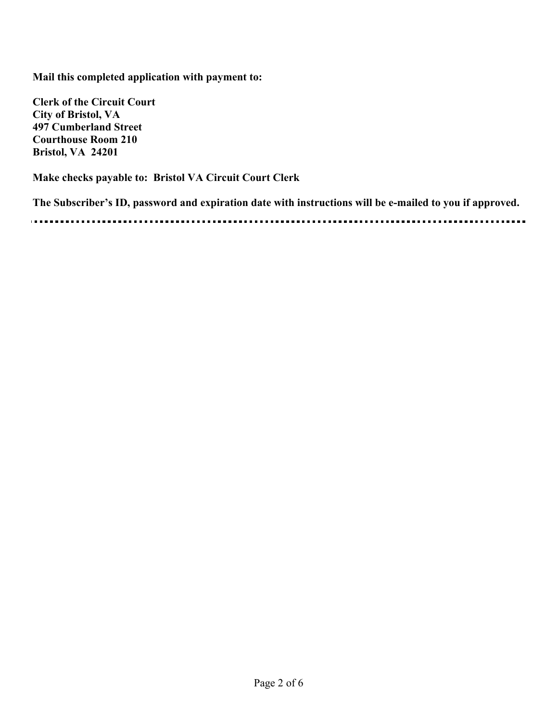**Mail this completed application with payment to:** 

**Clerk of the Circuit Court City of Bristol, VA 497 Cumberland Street Courthouse Room 210 Bristol, VA 24201**

**Make checks payable to: Bristol VA Circuit Court Clerk**

**The Subscriber's ID, password and expiration date with instructions will be e-mailed to you if approved.**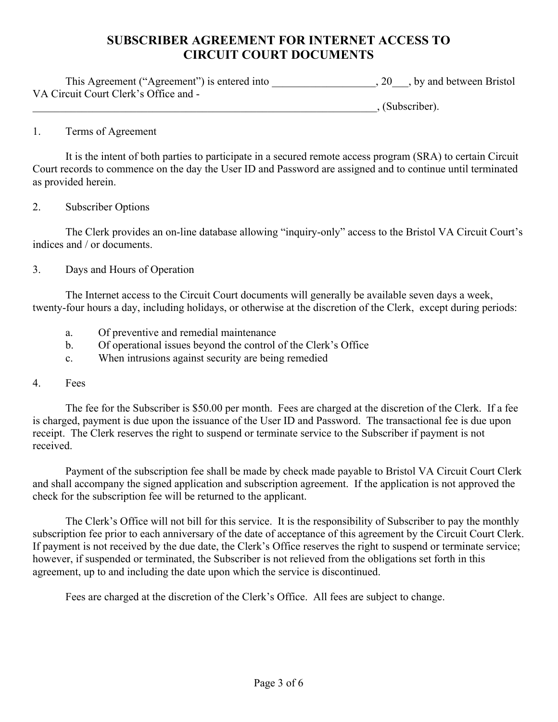# **SUBSCRIBER AGREEMENT FOR INTERNET ACCESS TO CIRCUIT COURT DOCUMENTS**

| This Agreement ("Agreement") is entered into | $, 20$ , by and between Bristol |
|----------------------------------------------|---------------------------------|
| VA Circuit Court Clerk's Office and -        |                                 |

 $\Box$  (Subscriber).

# 1. Terms of Agreement

It is the intent of both parties to participate in a secured remote access program (SRA) to certain Circuit Court records to commence on the day the User ID and Password are assigned and to continue until terminated as provided herein.

### 2. Subscriber Options

The Clerk provides an on-line database allowing "inquiry-only" access to the Bristol VA Circuit Court's indices and / or documents.

# 3. Days and Hours of Operation

The Internet access to the Circuit Court documents will generally be available seven days a week, twenty-four hours a day, including holidays, or otherwise at the discretion of the Clerk, except during periods:

- a. Of preventive and remedial maintenance
- b. Of operational issues beyond the control of the Clerk's Office
- c. When intrusions against security are being remedied

# 4. Fees

The fee for the Subscriber is \$50.00 per month. Fees are charged at the discretion of the Clerk. If a fee is charged, payment is due upon the issuance of the User ID and Password. The transactional fee is due upon receipt. The Clerk reserves the right to suspend or terminate service to the Subscriber if payment is not received.

Payment of the subscription fee shall be made by check made payable to Bristol VA Circuit Court Clerk and shall accompany the signed application and subscription agreement. If the application is not approved the check for the subscription fee will be returned to the applicant.

The Clerk's Office will not bill for this service. It is the responsibility of Subscriber to pay the monthly subscription fee prior to each anniversary of the date of acceptance of this agreement by the Circuit Court Clerk. If payment is not received by the due date, the Clerk's Office reserves the right to suspend or terminate service; however, if suspended or terminated, the Subscriber is not relieved from the obligations set forth in this agreement, up to and including the date upon which the service is discontinued.

Fees are charged at the discretion of the Clerk's Office. All fees are subject to change.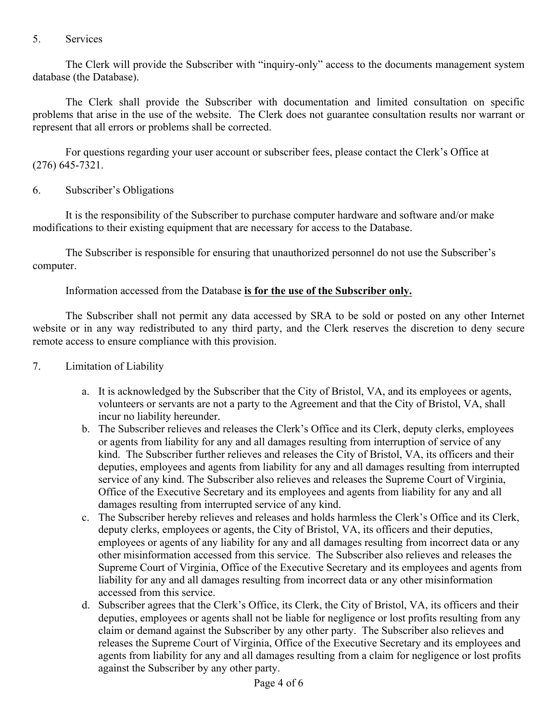# 5. Services

The Clerk will provide the Subscriber with "inquiry-only" access to the documents management system database (the Database).

The Clerk shall provide the Subscriber with documentation and limited consultation on specific problems that arise in the use of the website. The Clerk does not guarantee consultation results nor warrant or represent that all errors or problems shall be corrected.

For questions regarding your user account or subscriber fees, please contact the Clerk's Office at (276) 645-7321.

# 6. Subscriber's Obligations

It is the responsibility of the Subscriber to purchase computer hardware and software and/or make modifications to their existing equipment that are necessary for access to the Database.

The Subscriber is responsible for ensuring that unauthorized personnel do not use the Subscriber's computer.

Information accessed from the Database **is for the use of the Subscriber only.**

The Subscriber shall not permit any data accessed by SRA to be sold or posted on any other Internet website or in any way redistributed to any third party, and the Clerk reserves the discretion to deny secure remote access to ensure compliance with this provision.

- 7. Limitation of Liability
	- a. It is acknowledged by the Subscriber that the City of Bristol, VA, and its employees or agents, volunteers or servants are not a party to the Agreement and that the City of Bristol, VA, shall incur no liability hereunder.
	- b. The Subscriber relieves and releases the Clerk's Office and its Clerk, deputy clerks, employees or agents from liability for any and all damages resulting from interruption of service of any kind. The Subscriber further relieves and releases the City of Bristol, VA, its officers and their deputies, employees and agents from liability for any and all damages resulting from interrupted service of any kind. The Subscriber also relieves and releases the Supreme Court of Virginia, Office of the Executive Secretary and its employees and agents from liability for any and all damages resulting from interrupted service of any kind.
	- c. The Subscriber hereby relieves and releases and holds harmless the Clerk's Office and its Clerk, deputy clerks, employees or agents, the City of Bristol, VA, its officers and their deputies, employees or agents of any liability for any and all damages resulting from incorrect data or any other misinformation accessed from this service. The Subscriber also relieves and releases the Supreme Court of Virginia, Office of the Executive Secretary and its employees and agents from liability for any and all damages resulting from incorrect data or any other misinformation accessed from this service.
	- d. Subscriber agrees that the Clerk's Office, its Clerk, the City of Bristol, VA, its officers and their deputies, employees or agents shall not be liable for negligence or lost profits resulting from any claim or demand against the Subscriber by any other party. The Subscriber also relieves and releases the Supreme Court of Virginia, Office of the Executive Secretary and its employees and agents from liability for any and all damages resulting from a claim for negligence or lost profits against the Subscriber by any other party.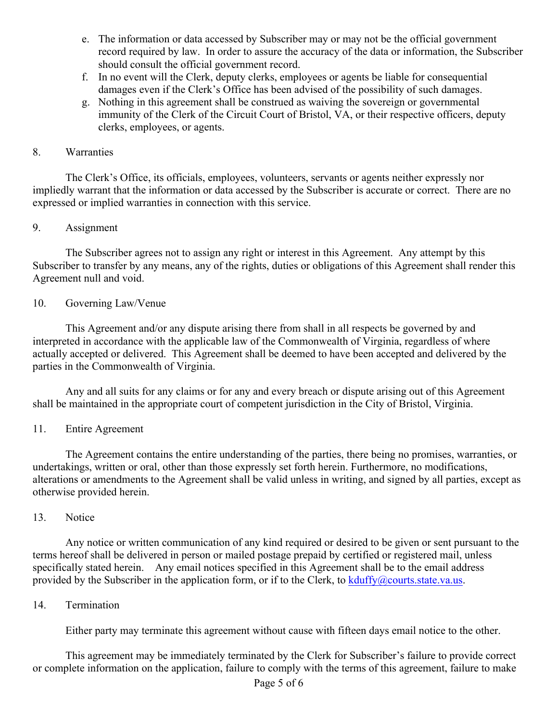- e. The information or data accessed by Subscriber may or may not be the official government record required by law. In order to assure the accuracy of the data or information, the Subscriber should consult the official government record.
- f. In no event will the Clerk, deputy clerks, employees or agents be liable for consequential damages even if the Clerk's Office has been advised of the possibility of such damages.
- g. Nothing in this agreement shall be construed as waiving the sovereign or governmental immunity of the Clerk of the Circuit Court of Bristol, VA, or their respective officers, deputy clerks, employees, or agents.

# 8. Warranties

The Clerk's Office, its officials, employees, volunteers, servants or agents neither expressly nor impliedly warrant that the information or data accessed by the Subscriber is accurate or correct. There are no expressed or implied warranties in connection with this service.

### 9. Assignment

The Subscriber agrees not to assign any right or interest in this Agreement. Any attempt by this Subscriber to transfer by any means, any of the rights, duties or obligations of this Agreement shall render this Agreement null and void.

### 10. Governing Law/Venue

This Agreement and/or any dispute arising there from shall in all respects be governed by and interpreted in accordance with the applicable law of the Commonwealth of Virginia, regardless of where actually accepted or delivered. This Agreement shall be deemed to have been accepted and delivered by the parties in the Commonwealth of Virginia.

Any and all suits for any claims or for any and every breach or dispute arising out of this Agreement shall be maintained in the appropriate court of competent jurisdiction in the City of Bristol, Virginia.

# 11. Entire Agreement

The Agreement contains the entire understanding of the parties, there being no promises, warranties, or undertakings, written or oral, other than those expressly set forth herein. Furthermore, no modifications, alterations or amendments to the Agreement shall be valid unless in writing, and signed by all parties, except as otherwise provided herein.

#### 13. Notice

Any notice or written communication of any kind required or desired to be given or sent pursuant to the terms hereof shall be delivered in person or mailed postage prepaid by certified or registered mail, unless specifically stated herein. Any email notices specified in this Agreement shall be to the email address provided by the Subscriber in the application form, or if to the Clerk, to  $kduffy@counts.state.values$ .

#### 14. Termination

Either party may terminate this agreement without cause with fifteen days email notice to the other.

This agreement may be immediately terminated by the Clerk for Subscriber's failure to provide correct or complete information on the application, failure to comply with the terms of this agreement, failure to make